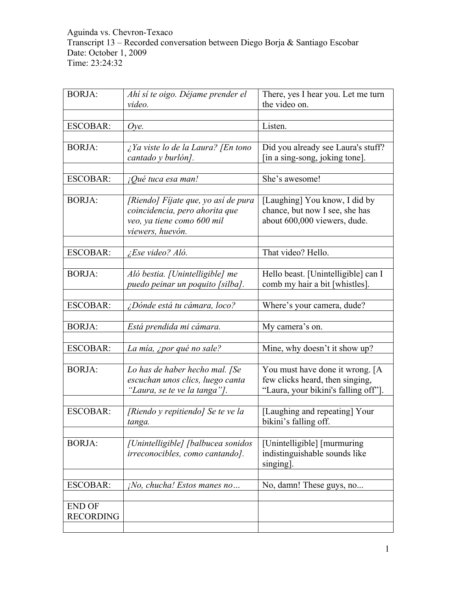| <b>BORJA:</b>                     | Ahí sí te oigo. Déjame prender el                                                                                       | There, yes I hear you. Let me turn                                                                         |
|-----------------------------------|-------------------------------------------------------------------------------------------------------------------------|------------------------------------------------------------------------------------------------------------|
|                                   | video.                                                                                                                  | the video on.                                                                                              |
| <b>ESCOBAR:</b>                   | Oye.                                                                                                                    | Listen.                                                                                                    |
|                                   |                                                                                                                         |                                                                                                            |
| <b>BORJA:</b>                     | $\lambda$ Ya viste lo de la Laura? [En tono<br>cantado y burlón].                                                       | Did you already see Laura's stuff?<br>[in a sing-song, joking tone].                                       |
| <b>ESCOBAR:</b>                   | ¡Qué tuca esa man!                                                                                                      | She's awesome!                                                                                             |
| <b>BORJA:</b>                     | [Riendo] Fijate que, yo así de pura<br>coincidencia, pero ahorita que<br>veo, ya tiene como 600 mil<br>viewers, huevón. | [Laughing] You know, I did by<br>chance, but now I see, she has<br>about 600,000 viewers, dude.            |
| <b>ESCOBAR:</b>                   | ¿Ese video? Aló.                                                                                                        | That video? Hello.                                                                                         |
| <b>BORJA:</b>                     | Aló bestia. [Unintelligible] me<br>puedo peinar un poquito [silba].                                                     | Hello beast. [Unintelligible] can I<br>comb my hair a bit [whistles].                                      |
| <b>ESCOBAR:</b>                   | ¿Dónde está tu cámara, loco?                                                                                            | Where's your camera, dude?                                                                                 |
| <b>BORJA:</b>                     | Está prendida mi cámara.                                                                                                | My camera's on.                                                                                            |
| <b>ESCOBAR:</b>                   | La mía, ¿por qué no sale?                                                                                               | Mine, why doesn't it show up?                                                                              |
| <b>BORJA:</b>                     | Lo has de haber hecho mal. [Se<br>escuchan unos clics, luego canta<br>"Laura, se te ve la tanga"].                      | You must have done it wrong. [A<br>few clicks heard, then singing,<br>"Laura, your bikini's falling off"]. |
| <b>ESCOBAR:</b>                   | [Riendo y repitiendo] Se te ve la<br>tanga.                                                                             | [Laughing and repeating] Your<br>bikini's falling off.                                                     |
| <b>BORJA:</b>                     | [Unintelligible] [balbucea sonidos<br>irreconocibles, como cantando].                                                   | [Unintelligible] [murmuring]<br>indistinguishable sounds like<br>singing]                                  |
| <b>ESCOBAR:</b>                   | $i$ No, chucha! Estos manes no                                                                                          | No, damn! These guys, no                                                                                   |
| <b>END OF</b><br><b>RECORDING</b> |                                                                                                                         |                                                                                                            |